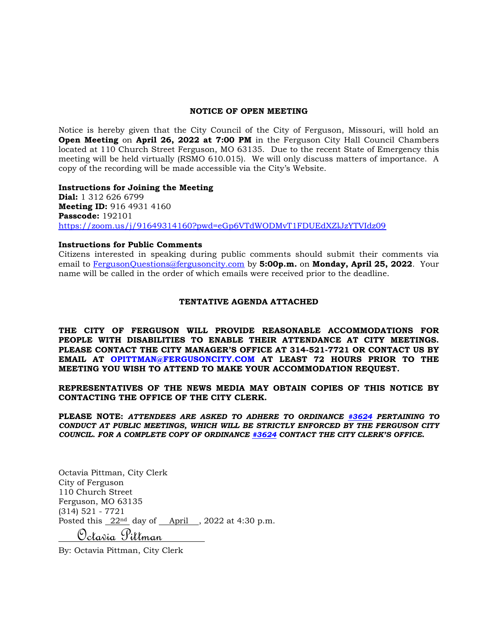#### **NOTICE OF OPEN MEETING**

Notice is hereby given that the City Council of the City of Ferguson, Missouri, will hold an **Open Meeting** on **April 26, 2022 at 7:00 PM** in the Ferguson City Hall Council Chambers located at 110 Church Street Ferguson, MO 63135. Due to the recent State of Emergency this meeting will be held virtually (RSMO 610.015). We will only discuss matters of importance. A copy of the recording will be made accessible via the City's Website.

**Instructions for Joining the Meeting Dial:** 1 312 626 6799 **Meeting ID:** 916 4931 4160 **Passcode:** 192101 <https://zoom.us/j/91649314160?pwd=eGp6VTdWODMvT1FDUEdXZlJzYTVIdz09>

#### **Instructions for Public Comments**

Citizens interested in speaking during public comments should submit their comments via email to [FergusonQuestions@fergusoncity.com](mailto:FergusonQuestions@fergusoncity.com) by **5:00p.m.** on **Monday, April 25, 2022**. Your name will be called in the order of which emails were received prior to the deadline.

#### **TENTATIVE AGENDA ATTACHED**

**THE CITY OF FERGUSON WILL PROVIDE REASONABLE ACCOMMODATIONS FOR PEOPLE WITH DISABILITIES TO ENABLE THEIR ATTENDANCE AT CITY MEETINGS. PLEASE CONTACT THE CITY MANAGER'S OFFICE AT 314-521-7721 OR CONTACT US BY EMAIL AT OPITTMAN@FERGUSONCITY.COM AT LEAST 72 HOURS PRIOR TO THE MEETING YOU WISH TO ATTEND TO MAKE YOUR ACCOMMODATION REQUEST.**

**REPRESENTATIVES OF THE NEWS MEDIA MAY OBTAIN COPIES OF THIS NOTICE BY CONTACTING THE OFFICE OF THE CITY CLERK.**

**PLEASE NOTE:** *ATTENDEES ARE ASKED TO ADHERE TO ORDINANCE [#3624](https://www.fergusoncity.com/DocumentCenter/View/3634/Ord-2016-3624-Amending-Chapt-2-addition-of-Sec-2-32-Conduct-at-Public-Mtgs) PERTAINING TO CONDUCT AT PUBLIC MEETINGS, WHICH WILL BE STRICTLY ENFORCED BY THE FERGUSON CITY COUNCIL. FOR A COMPLETE COPY OF ORDINANCE [#3624](https://www.fergusoncity.com/DocumentCenter/View/3634/Ord-2016-3624-Amending-Chapt-2-addition-of-Sec-2-32-Conduct-at-Public-Mtgs) CONTACT THE CITY CLERK'S OFFICE***.**

Octavia Pittman, City Clerk City of Ferguson 110 Church Street Ferguson, MO 63135 (314) 521 - 7721 Posted this  $22<sup>nd</sup>$  day of April , 2022 at 4:30 p.m.

Octavia Pittman

By: Octavia Pittman, City Clerk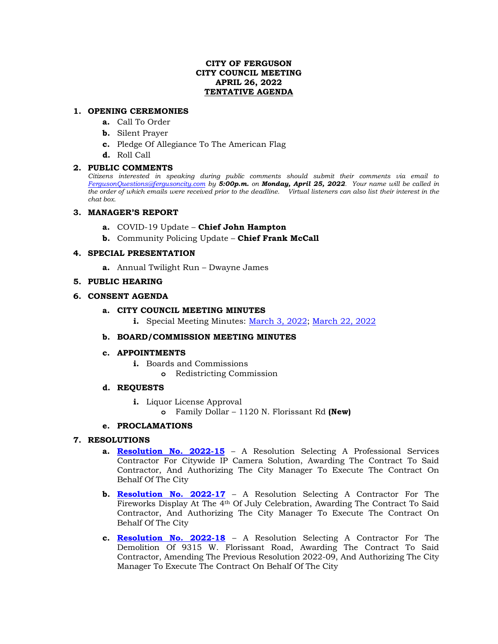## **CITY OF FERGUSON CITY COUNCIL MEETING APRIL 26, 2022 TENTATIVE AGENDA**

## **1. OPENING CEREMONIES**

- **a.** Call To Order
- **b.** Silent Prayer
- **c.** Pledge Of Allegiance To The American Flag
- **d.** Roll Call

## **2. PUBLIC COMMENTS**

*Citizens interested in speaking during public comments should submit their comments via email to [FergusonQuestions@fergusoncity.com](mailto:FergusonQuestions@fergusoncity.com) by 5:00p.m. on Monday, April 25, 2022. Your name will be called in the order of which emails were received prior to the deadline. Virtual listeners can also list their interest in the chat box.* 

#### **3. MANAGER'S REPORT**

- **a.** COVID-19 Update **Chief John Hampton**
- **b.** Community Policing Update **Chief Frank McCall**

## **4. SPECIAL PRESENTATION**

**a.** Annual Twilight Run – Dwayne James

## **5. PUBLIC HEARING**

## **6. CONSENT AGENDA**

## **a. CITY COUNCIL MEETING MINUTES**

**i.** Special Meeting Minutes: [March 3, 2022;](http://www.fergusoncity.com/DocumentCenter/View/5797/Council-special-meeting-minutes-030322) [March 22, 2022](http://www.fergusoncity.com/DocumentCenter/View/5798/Council-special-meeting-minutes-032222)

#### **b. BOARD/COMMISSION MEETING MINUTES**

#### **c. APPOINTMENTS**

- **i.** Boards and Commissions
	- **o** Redistricting Commission

# **d. REQUESTS**

**i.** Liquor License Approval **o** Family Dollar – 1120 N. Florissant Rd **(New)**

## **e. PROCLAMATIONS**

# **7. RESOLUTIONS**

- **a. [Resolution No. 2022-15](https://www.fergusoncity.com/DocumentCenter/View/5780/Resolution-No-2022-15-Citywide-IP-Camera-Solution)** A Resolution Selecting A Professional Services Contractor For Citywide IP Camera Solution, Awarding The Contract To Said Contractor, And Authorizing The City Manager To Execute The Contract On Behalf Of The City
- **b. Resolution [No. 2022-17](https://www.fergusoncity.com/DocumentCenter/View/5794/Resolution-No-2022-17-Fireworks---JM-Display)** A Resolution Selecting A Contractor For The Fireworks Display At The 4th Of July Celebration, Awarding The Contract To Said Contractor, And Authorizing The City Manager To Execute The Contract On Behalf Of The City
- **c. [Resolution No. 2022-18](https://www.fergusoncity.com/DocumentCenter/View/5795/Resolution-No-2022-18-9315-W-Florissant-Rd-Demo-amended)** A Resolution Selecting A Contractor For The Demolition Of 9315 W. Florissant Road, Awarding The Contract To Said Contractor, Amending The Previous Resolution 2022-09, And Authorizing The City Manager To Execute The Contract On Behalf Of The City